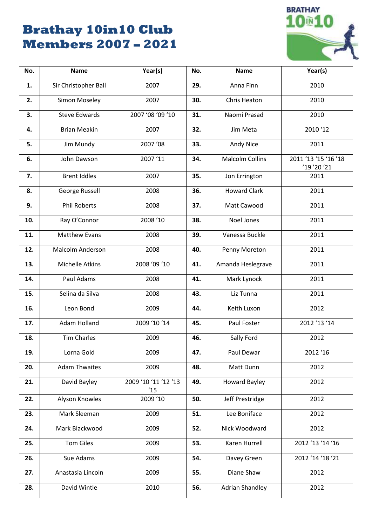# **Brathay 10in10 Club Members 2007 – 2021**



| No. | <b>Name</b>             | Year(s)                    | No. | <b>Name</b>            | Year(s)                             |
|-----|-------------------------|----------------------------|-----|------------------------|-------------------------------------|
| 1.  | Sir Christopher Ball    | 2007                       | 29. | Anna Finn              | 2010                                |
| 2.  | Simon Moseley           | 2007                       | 30. | Chris Heaton           | 2010                                |
| 3.  | <b>Steve Edwards</b>    | 2007 '08 '09 '10           | 31. | Naomi Prasad           | 2010                                |
| 4.  | <b>Brian Meakin</b>     | 2007                       | 32. | Jim Meta               | 2010'12                             |
| 5.  | Jim Mundy               | 2007 '08                   | 33. | Andy Nice              | 2011                                |
| 6.  | John Dawson             | 2007'11                    | 34. | <b>Malcolm Collins</b> | 2011 '13 '15 '16 '18<br>'19 '20 '21 |
| 7.  | <b>Brent Iddles</b>     | 2007                       | 35. | Jon Errington          | 2011                                |
| 8.  | George Russell          | 2008                       | 36. | <b>Howard Clark</b>    | 2011                                |
| 9.  | <b>Phil Roberts</b>     | 2008                       | 37. | Matt Cawood            | 2011                                |
| 10. | Ray O'Connor            | 2008 '10                   | 38. | Noel Jones             | 2011                                |
| 11. | <b>Matthew Evans</b>    | 2008                       | 39. | Vanessa Buckle         | 2011                                |
| 12. | <b>Malcolm Anderson</b> | 2008                       | 40. | Penny Moreton          | 2011                                |
| 13. | <b>Michelle Atkins</b>  | 2008 '09 '10               | 41. | Amanda Heslegrave      | 2011                                |
| 14. | Paul Adams              | 2008                       | 41. | Mark Lynock            | 2011                                |
| 15. | Selina da Silva         | 2008                       | 43. | Liz Tunna              | 2011                                |
| 16. | Leon Bond               | 2009                       | 44. | Keith Luxon            | 2012                                |
| 17. | Adam Holland            | 2009 '10 '14               | 45. | Paul Foster            | 2012 '13 '14                        |
| 18. | <b>Tim Charles</b>      | 2009                       | 46. | Sally Ford             | 2012                                |
| 19. | Lorna Gold              | 2009                       | 47. | Paul Dewar             | 2012 '16                            |
| 20. | <b>Adam Thwaites</b>    | 2009                       | 48. | Matt Dunn              | 2012                                |
| 21. | David Bayley            | 2009 '10 '11 '12 '13<br>15 | 49. | <b>Howard Bayley</b>   | 2012                                |
| 22. | Alyson Knowles          | 2009 '10                   | 50. | Jeff Prestridge        | 2012                                |
| 23. | Mark Sleeman            | 2009                       | 51. | Lee Boniface           | 2012                                |
| 24. | Mark Blackwood          | 2009                       | 52. | Nick Woodward          | 2012                                |
| 25. | <b>Tom Giles</b>        | 2009                       | 53. | Karen Hurrell          | 2012 '13 '14 '16                    |
| 26. | Sue Adams               | 2009                       | 54. | Davey Green            | 2012 '14 '18 '21                    |
| 27. | Anastasia Lincoln       | 2009                       | 55. | Diane Shaw             | 2012                                |
| 28. | David Wintle            | 2010                       | 56. | <b>Adrian Shandley</b> | 2012                                |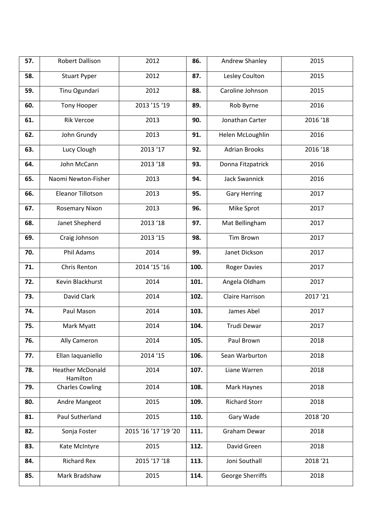| 57. | Robert Dallison                     | 2012                 | 86.  | Andrew Shanley       | 2015     |
|-----|-------------------------------------|----------------------|------|----------------------|----------|
| 58. | <b>Stuart Pyper</b>                 | 2012                 | 87.  | Lesley Coulton       | 2015     |
| 59. | Tinu Ogundari                       | 2012                 | 88.  | Caroline Johnson     | 2015     |
| 60. | <b>Tony Hooper</b>                  | 2013 '15 '19         | 89.  | Rob Byrne            | 2016     |
| 61. | <b>Rik Vercoe</b>                   | 2013                 | 90.  | Jonathan Carter      | 2016 '18 |
| 62. | John Grundy                         | 2013                 | 91.  | Helen McLoughlin     | 2016     |
| 63. | Lucy Clough                         | 2013 '17             | 92.  | <b>Adrian Brooks</b> | 2016 '18 |
| 64. | John McCann                         | 2013 '18             | 93.  | Donna Fitzpatrick    | 2016     |
| 65. | Naomi Newton-Fisher                 | 2013                 | 94.  | Jack Swannick        | 2016     |
| 66. | <b>Eleanor Tillotson</b>            | 2013                 | 95.  | <b>Gary Herring</b>  | 2017     |
| 67. | Rosemary Nixon                      | 2013                 | 96.  | Mike Sprot           | 2017     |
| 68. | Janet Shepherd                      | 2013 '18             | 97.  | Mat Bellingham       | 2017     |
| 69. | Craig Johnson                       | 2013 '15             | 98.  | <b>Tim Brown</b>     | 2017     |
| 70. | Phil Adams                          | 2014                 | 99.  | Janet Dickson        | 2017     |
| 71. | Chris Renton                        | 2014 '15 '16         | 100. | <b>Roger Davies</b>  | 2017     |
| 72. | Kevin Blackhurst                    | 2014                 | 101. | Angela Oldham        | 2017     |
| 73. | David Clark                         | 2014                 | 102. | Claire Harrison      | 2017'21  |
| 74. | Paul Mason                          | 2014                 | 103. | James Abel           | 2017     |
| 75. | Mark Myatt                          | 2014                 | 104. | Trudi Dewar          | 2017     |
| 76. | Ally Cameron                        | 2014                 | 105. | Paul Brown           | 2018     |
| 77. | Ellan Iaquaniello                   | 2014 '15             | 106. | Sean Warburton       | 2018     |
| 78. | <b>Heather McDonald</b><br>Hamilton | 2014                 | 107. | Liane Warren         | 2018     |
| 79. | <b>Charles Cowling</b>              | 2014                 | 108. | Mark Haynes          | 2018     |
| 80. | Andre Mangeot                       | 2015                 | 109. | <b>Richard Storr</b> | 2018     |
| 81. | Paul Sutherland                     | 2015                 | 110. | Gary Wade            | 2018 '20 |
| 82. | Sonja Foster                        | 2015 '16 '17 '19 '20 | 111. | Graham Dewar         | 2018     |
| 83. | Kate McIntyre                       | 2015                 | 112. | David Green          | 2018     |
| 84. | <b>Richard Rex</b>                  | 2015 '17 '18         | 113. | Joni Southall        | 2018 '21 |
| 85. | Mark Bradshaw                       | 2015                 | 114. | George Sherriffs     | 2018     |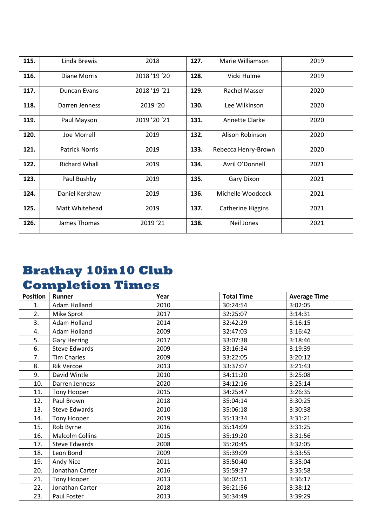| 115. | Linda Brewis          | 2018       | 127. | Marie Williamson         | 2019 |
|------|-----------------------|------------|------|--------------------------|------|
| 116. | Diane Morris          | 2018'19'20 | 128. | Vicki Hulme              | 2019 |
| 117. | Duncan Evans          | 2018'19'21 | 129. | Rachel Masser            | 2020 |
| 118. | Darren Jenness        | 2019 '20   | 130. | Lee Wilkinson            | 2020 |
| 119. | Paul Mayson           | 2019'20'21 | 131. | Annette Clarke           | 2020 |
| 120. | Joe Morrell           | 2019       | 132. | Alison Robinson          | 2020 |
| 121. | <b>Patrick Norris</b> | 2019       | 133. | Rebecca Henry-Brown      | 2020 |
| 122. | <b>Richard Whall</b>  | 2019       | 134. | Avril O'Donnell          | 2021 |
| 123. | Paul Bushby           | 2019       | 135. | Gary Dixon               | 2021 |
| 124. | Daniel Kershaw        | 2019       | 136. | Michelle Woodcock        | 2021 |
| 125. | Matt Whitehead        | 2019       | 137. | <b>Catherine Higgins</b> | 2021 |
| 126. | James Thomas          | 2019 '21   | 138. | <b>Neil Jones</b>        | 2021 |

# **Brathay 10in10 Club Completion Times**

| <b>Position</b> | <b>Runner</b>          | Year | <b>Total Time</b> | <b>Average Time</b> |
|-----------------|------------------------|------|-------------------|---------------------|
| 1.              | Adam Holland           | 2010 | 30:24:54          | 3:02:05             |
| 2.              | Mike Sprot             | 2017 | 32:25:07          | 3:14:31             |
| 3.              | Adam Holland           | 2014 | 32:42:29          | 3:16:15             |
| 4.              | Adam Holland           | 2009 | 32:47:03          | 3:16:42             |
| 5.              | <b>Gary Herring</b>    | 2017 | 33:07:38          | 3:18:46             |
| 6.              | <b>Steve Edwards</b>   | 2009 | 33:16:34          | 3:19:39             |
| 7.              | <b>Tim Charles</b>     | 2009 | 33:22:05          | 3:20:12             |
| 8.              | <b>Rik Vercoe</b>      | 2013 | 33:37:07          | 3:21:43             |
| 9.              | David Wintle           | 2010 | 34:11:20          | 3:25:08             |
| 10.             | Darren Jenness         | 2020 | 34:12:16          | 3:25:14             |
| 11.             | Tony Hooper            | 2015 | 34:25:47          | 3:26:35             |
| 12.             | Paul Brown             | 2018 | 35:04:14          | 3:30:25             |
| 13.             | Steve Edwards          | 2010 | 35:06:18          | 3:30:38             |
| 14.             | Tony Hooper            | 2019 | 35:13:34          | 3:31:21             |
| 15.             | Rob Byrne              | 2016 | 35:14:09          | 3:31:25             |
| 16.             | <b>Malcolm Collins</b> | 2015 | 35:19:20          | 3:31:56             |
| 17.             | <b>Steve Edwards</b>   | 2008 | 35:20:45          | 3:32:05             |
| 18.             | Leon Bond              | 2009 | 35:39:09          | 3:33:55             |
| 19.             | Andy Nice              | 2011 | 35:50:40          | 3:35:04             |
| 20.             | Jonathan Carter        | 2016 | 35:59:37          | 3:35:58             |
| 21.             | Tony Hooper            | 2013 | 36:02:51          | 3:36:17             |
| 22.             | Jonathan Carter        | 2018 | 36:21:56          | 3:38:12             |
| 23.             | Paul Foster            | 2013 | 36:34:49          | 3:39:29             |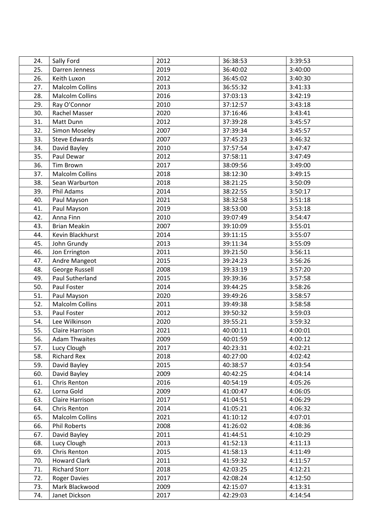| 24. | Sally Ford             | 2012 | 36:38:53 | 3:39:53 |
|-----|------------------------|------|----------|---------|
| 25. | Darren Jenness         | 2019 | 36:40:02 | 3:40:00 |
| 26. | Keith Luxon            | 2012 | 36:45:02 | 3:40:30 |
| 27. | <b>Malcolm Collins</b> | 2013 | 36:55:32 | 3:41:33 |
| 28. | <b>Malcolm Collins</b> | 2016 | 37:03:13 | 3:42:19 |
| 29. | Ray O'Connor           | 2010 | 37:12:57 | 3:43:18 |
| 30. | Rachel Masser          | 2020 | 37:16:46 | 3:43:41 |
| 31. | Matt Dunn              | 2012 | 37:39:28 | 3:45:57 |
| 32. | Simon Moseley          | 2007 | 37:39:34 | 3:45:57 |
| 33. | <b>Steve Edwards</b>   | 2007 | 37:45:23 | 3:46:32 |
| 34. | David Bayley           | 2010 | 37:57:54 | 3:47:47 |
| 35. | Paul Dewar             | 2012 | 37:58:11 | 3:47:49 |
| 36. | Tim Brown              | 2017 | 38:09:56 | 3:49:00 |
| 37. | <b>Malcolm Collins</b> | 2018 | 38:12:30 | 3:49:15 |
| 38. | Sean Warburton         | 2018 | 38:21:25 | 3:50:09 |
| 39. | Phil Adams             | 2014 | 38:22:55 | 3:50:17 |
| 40. | Paul Mayson            | 2021 | 38:32:58 | 3:51:18 |
| 41. | Paul Mayson            | 2019 | 38:53:00 | 3:53:18 |
| 42. | Anna Finn              | 2010 | 39:07:49 | 3:54:47 |
| 43. | <b>Brian Meakin</b>    | 2007 | 39:10:09 | 3:55:01 |
| 44. | Kevin Blackhurst       | 2014 | 39:11:15 | 3:55:07 |
| 45. | John Grundy            | 2013 | 39:11:34 | 3:55:09 |
| 46. | Jon Errington          | 2011 | 39:21:50 | 3:56:11 |
| 47. | Andre Mangeot          | 2015 | 39:24:23 | 3:56:26 |
| 48. | George Russell         | 2008 | 39:33:19 | 3:57:20 |
| 49. | Paul Sutherland        | 2015 | 39:39:36 | 3:57:58 |
| 50. | Paul Foster            | 2014 | 39:44:25 | 3:58:26 |
| 51. | Paul Mayson            | 2020 | 39:49:26 | 3:58:57 |
| 52. | <b>Malcolm Collins</b> | 2011 | 39:49:38 | 3:58:58 |
| 53. | Paul Foster            | 2012 | 39:50:32 | 3:59:03 |
| 54. | Lee Wilkinson          | 2020 | 39:55:21 | 3:59:32 |
| 55. | Claire Harrison        | 2021 | 40:00:11 | 4:00:01 |
| 56. | <b>Adam Thwaites</b>   | 2009 | 40:01:59 | 4:00:12 |
| 57. | Lucy Clough            | 2017 | 40:23:31 | 4:02:21 |
| 58. | <b>Richard Rex</b>     | 2018 | 40:27:00 | 4:02:42 |
| 59. | David Bayley           | 2015 | 40:38:57 | 4:03:54 |
| 60. | David Bayley           | 2009 | 40:42:25 | 4:04:14 |
| 61. | Chris Renton           | 2016 | 40:54:19 | 4:05:26 |
| 62. | Lorna Gold             | 2009 | 41:00:47 | 4:06:05 |
| 63. | Claire Harrison        | 2017 | 41:04:51 | 4:06:29 |
| 64. | Chris Renton           | 2014 | 41:05:21 | 4:06:32 |
| 65. | <b>Malcolm Collins</b> | 2021 | 41:10:12 | 4:07:01 |
| 66. | Phil Roberts           | 2008 | 41:26:02 | 4:08:36 |
| 67. | David Bayley           | 2011 | 41:44:51 | 4:10:29 |
| 68. | Lucy Clough            | 2013 | 41:52:13 | 4:11:13 |
| 69. | Chris Renton           | 2015 | 41:58:13 | 4:11:49 |
| 70. | <b>Howard Clark</b>    | 2011 | 41:59:32 | 4:11:57 |
| 71. | <b>Richard Storr</b>   | 2018 | 42:03:25 | 4:12:21 |
| 72. | <b>Roger Davies</b>    | 2017 | 42:08:24 | 4:12:50 |
| 73. | Mark Blackwood         | 2009 | 42:15:07 | 4:13:31 |
| 74. | Janet Dickson          | 2017 | 42:29:03 | 4:14:54 |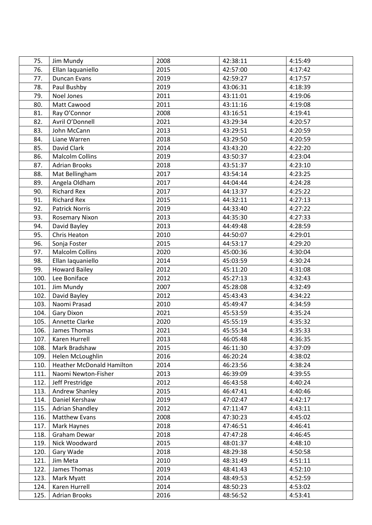| 75.  | Jim Mundy                        | 2008 | 42:38:11 | 4:15:49 |
|------|----------------------------------|------|----------|---------|
| 76.  | Ellan Iaquaniello                | 2015 | 42:57:00 | 4:17:42 |
| 77.  | Duncan Evans                     | 2019 | 42:59:27 | 4:17:57 |
| 78.  | Paul Bushby                      | 2019 | 43:06:31 | 4:18:39 |
| 79.  | Noel Jones                       | 2011 | 43:11:01 | 4:19:06 |
| 80.  | Matt Cawood                      | 2011 | 43:11:16 | 4:19:08 |
| 81.  | Ray O'Connor                     | 2008 | 43:16:51 | 4:19:41 |
| 82.  | Avril O'Donnell                  | 2021 | 43:29:34 | 4:20:57 |
| 83.  | John McCann                      | 2013 | 43:29:51 | 4:20:59 |
| 84.  | Liane Warren                     | 2018 | 43:29:50 | 4:20:59 |
| 85.  | David Clark                      | 2014 | 43:43:20 | 4:22:20 |
| 86.  | <b>Malcolm Collins</b>           | 2019 | 43:50:37 | 4:23:04 |
| 87.  | <b>Adrian Brooks</b>             | 2018 | 43:51:37 | 4:23:10 |
| 88.  | Mat Bellingham                   | 2017 | 43:54:14 | 4:23:25 |
| 89.  | Angela Oldham                    | 2017 | 44:04:44 | 4:24:28 |
| 90.  | <b>Richard Rex</b>               | 2017 | 44:13:37 | 4:25:22 |
| 91.  | <b>Richard Rex</b>               | 2015 | 44:32:11 | 4:27:13 |
| 92.  | <b>Patrick Norris</b>            | 2019 | 44:33:40 | 4:27:22 |
| 93.  | <b>Rosemary Nixon</b>            | 2013 | 44:35:30 | 4:27:33 |
| 94.  | David Bayley                     | 2013 | 44:49:48 | 4:28:59 |
| 95.  | Chris Heaton                     | 2010 | 44:50:07 | 4:29:01 |
| 96.  | Sonja Foster                     | 2015 | 44:53:17 | 4:29:20 |
| 97.  | <b>Malcolm Collins</b>           | 2020 | 45:00:36 | 4:30:04 |
| 98.  | Ellan Iaquaniello                | 2014 | 45:03:59 | 4:30:24 |
| 99.  | <b>Howard Bailey</b>             | 2012 | 45:11:20 | 4:31:08 |
| 100. | Lee Boniface                     | 2012 | 45:27:13 | 4:32:43 |
| 101. | Jim Mundy                        | 2007 | 45:28:08 | 4:32:49 |
| 102. | David Bayley                     | 2012 | 45:43:43 | 4:34:22 |
| 103. | Naomi Prasad                     | 2010 | 45:49:47 | 4:34:59 |
| 104. | Gary Dixon                       | 2021 | 45:53:59 | 4:35:24 |
| 105. | Annette Clarke                   | 2020 | 45:55:19 | 4:35:32 |
| 106. | James Thomas                     | 2021 | 45:55:34 | 4:35:33 |
| 107. | Karen Hurrell                    | 2013 | 46:05:48 | 4:36:35 |
| 108. | Mark Bradshaw                    | 2015 | 46:11:30 | 4:37:09 |
| 109. | Helen McLoughlin                 | 2016 | 46:20:24 | 4:38:02 |
| 110. | <b>Heather McDonald Hamilton</b> | 2014 | 46:23:56 | 4:38:24 |
| 111. | Naomi Newton-Fisher              | 2013 | 46:39:09 | 4:39:55 |
| 112. | Jeff Prestridge                  | 2012 | 46:43:58 | 4:40:24 |
| 113. | Andrew Shanley                   | 2015 | 46:47:41 | 4:40:46 |
| 114. | Daniel Kershaw                   | 2019 | 47:02:47 | 4:42:17 |
| 115. | <b>Adrian Shandley</b>           | 2012 | 47:11:47 | 4:43:11 |
| 116. | Matthew Evans                    | 2008 | 47:30:23 | 4:45:02 |
| 117. | Mark Haynes                      | 2018 | 47:46:51 | 4:46:41 |
| 118. | Graham Dewar                     | 2018 | 47:47:28 | 4:46:45 |
| 119. | Nick Woodward                    | 2015 | 48:01:37 | 4:48:10 |
| 120. | Gary Wade                        | 2018 | 48:29:38 | 4:50:58 |
| 121. | Jim Meta                         | 2010 | 48:31:49 | 4:51:11 |
| 122. | James Thomas                     | 2019 | 48:41:43 | 4:52:10 |
| 123. | Mark Myatt                       | 2014 | 48:49:53 | 4:52:59 |
| 124. | Karen Hurrell                    | 2014 | 48:50:23 | 4:53:02 |
| 125. | <b>Adrian Brooks</b>             | 2016 | 48:56:52 | 4:53:41 |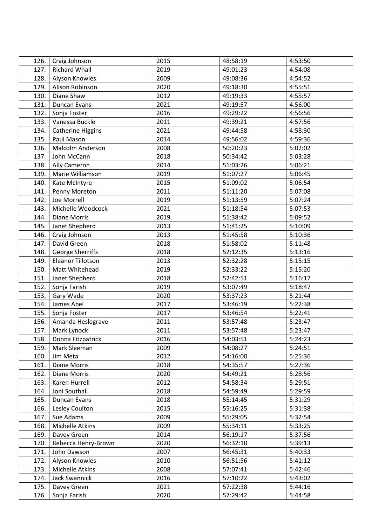| 126. | Craig Johnson            | 2015 | 48:58:19 | 4:53:50 |
|------|--------------------------|------|----------|---------|
| 127. | <b>Richard Whall</b>     | 2019 | 49:01:23 | 4:54:08 |
| 128. | Alyson Knowles           | 2009 | 49:08:36 | 4:54:52 |
| 129. | Alison Robinson          | 2020 | 49:18:30 | 4:55:51 |
| 130. | Diane Shaw               | 2012 | 49:19:33 | 4:55:57 |
| 131. | Duncan Evans             | 2021 | 49:19:57 | 4:56:00 |
| 132. | Sonja Foster             | 2016 | 49:29:22 | 4:56:56 |
| 133. | Vanessa Buckle           | 2011 | 49:39:21 | 4:57:56 |
| 134. | <b>Catherine Higgins</b> | 2021 | 49:44:58 | 4:58:30 |
| 135. | Paul Mason               | 2014 | 49:56:02 | 4:59:36 |
| 136. | Malcolm Anderson         | 2008 | 50:20:23 | 5:02:02 |
| 137. | John McCann              | 2018 | 50:34:42 | 5:03:28 |
| 138. | Ally Cameron             | 2014 | 51:03:26 | 5:06:21 |
| 139. | Marie Williamson         | 2019 | 51:07:27 | 5:06:45 |
| 140. | Kate McIntyre            | 2015 | 51:09:02 | 5:06:54 |
| 141. | Penny Moreton            | 2011 | 51:11:20 | 5:07:08 |
| 142. | Joe Morrell              | 2019 | 51:13:59 | 5:07:24 |
| 143. | Michelle Woodcock        | 2021 | 51:18:54 | 5:07:53 |
| 144. | <b>Diane Morris</b>      | 2019 | 51:38:42 | 5:09:52 |
| 145. | Janet Shepherd           | 2013 | 51:41:25 | 5:10:09 |
| 146. | Craig Johnson            | 2013 | 51:45:58 | 5:10:36 |
| 147. | David Green              | 2018 | 51:58:02 | 5:11:48 |
| 148. | George Sherriffs         | 2018 | 52:12:35 | 5:13:16 |
| 149. | <b>Eleanor Tillotson</b> | 2013 | 52:32:28 | 5:15:15 |
| 150. | Matt Whitehead           | 2019 | 52:33:22 | 5:15:20 |
| 151. | Janet Shepherd           | 2018 | 52:42:51 | 5:16:17 |
| 152. | Sonja Farish             | 2019 | 53:07:49 | 5:18:47 |
| 153. | Gary Wade                | 2020 | 53:37:23 | 5:21:44 |
| 154. | James Abel               | 2017 | 53:46:19 | 5:22:38 |
| 155. | Sonja Foster             | 2017 | 53:46:54 | 5:22:41 |
| 156. | Amanda Heslegrave        | 2011 | 53:57:48 | 5:23:47 |
| 157. | Mark Lynock              | 2011 | 53:57:48 | 5:23:47 |
| 158. | Donna Fitzpatrick        | 2016 | 54:03:51 | 5:24:23 |
| 159. | Mark Sleeman             | 2009 | 54:08:27 | 5:24:51 |
| 160. | Jim Meta                 | 2012 | 54:16:00 | 5:25:36 |
| 161. | <b>Diane Morris</b>      | 2018 | 54:35:57 | 5:27:36 |
| 162. | <b>Diane Morris</b>      | 2020 | 54:49:21 | 5:28:56 |
| 163. | Karen Hurrell            | 2012 | 54:58:34 | 5:29:51 |
| 164. | Joni Southall            | 2018 | 54:59:49 | 5:29:59 |
| 165. | Duncan Evans             | 2018 | 55:14:45 | 5:31:29 |
| 166. | Lesley Coulton           | 2015 | 55:16:25 | 5:31:38 |
| 167. | Sue Adams                | 2009 | 55:29:05 | 5:32:54 |
| 168. | Michelle Atkins          | 2009 | 55:34:11 | 5:33:25 |
| 169. | Davey Green              | 2014 | 56:19:17 | 5:37:56 |
| 170. | Rebecca Henry-Brown      | 2020 | 56:32:10 | 5:39:13 |
| 171. | John Dawson              | 2007 | 56:45:31 | 5:40:33 |
| 172. | Alyson Knowles           | 2010 | 56:51:56 | 5:41:12 |
| 173. | Michelle Atkins          | 2008 | 57:07:41 | 5:42:46 |
| 174. | Jack Swannick            | 2016 | 57:10:22 | 5:43:02 |
| 175. | Davey Green              | 2021 | 57:22:38 | 5:44:16 |
| 176. | Sonja Farish             | 2020 | 57:29:42 | 5:44:58 |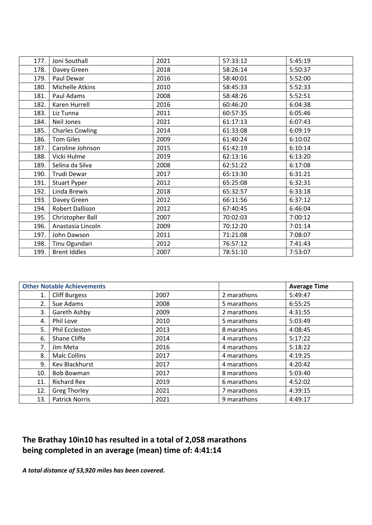| 177. | Joni Southall          | 2021 | 57:33:12 | 5:45:19 |
|------|------------------------|------|----------|---------|
| 178. | Davey Green            | 2018 | 58:26:14 | 5:50:37 |
| 179. | Paul Dewar             | 2016 | 58:40:01 | 5:52:00 |
| 180. | Michelle Atkins        | 2010 | 58:45:33 | 5:52:33 |
| 181. | Paul Adams             | 2008 | 58:48:26 | 5:52:51 |
| 182. | Karen Hurrell          | 2016 | 60:46:20 | 6:04:38 |
| 183. | Liz Tunna              | 2011 | 60:57:35 | 6:05:46 |
| 184. | Neil Jones             | 2021 | 61:17:13 | 6:07:43 |
| 185. | <b>Charles Cowling</b> | 2014 | 61:33:08 | 6:09:19 |
| 186. | <b>Tom Giles</b>       | 2009 | 61:40:24 | 6:10:02 |
| 187. | Caroline Johnson       | 2015 | 61:42:19 | 6:10:14 |
| 188. | Vicki Hulme            | 2019 | 62:13:16 | 6:13:20 |
| 189. | Selina da Silva        | 2008 | 62:51:22 | 6:17:08 |
| 190. | Trudi Dewar            | 2017 | 65:13:30 | 6:31:21 |
| 191. | <b>Stuart Pyper</b>    | 2012 | 65:25:08 | 6:32:31 |
| 192. | Linda Brewis           | 2018 | 65:32:57 | 6:33:18 |
| 193. | Davey Green            | 2012 | 66:11:56 | 6:37:12 |
| 194. | Robert Dallison        | 2012 | 67:40:45 | 6:46:04 |
| 195. | Christopher Ball       | 2007 | 70:02:03 | 7:00:12 |
| 196. | Anastasia Lincoln      | 2009 | 70:12:20 | 7:01:14 |
| 197. | John Dawson            | 2011 | 71:21:08 | 7:08:07 |
| 198. | Tinu Ogundari          | 2012 | 76:57:12 | 7:41:43 |
| 199. | <b>Brent Iddles</b>    | 2007 | 78:51:10 | 7:53:07 |

|     | <b>Other Notable Achievements</b> |      |             | <b>Average Time</b> |
|-----|-----------------------------------|------|-------------|---------------------|
| 1.  | <b>Cliff Burgess</b>              | 2007 | 2 marathons | 5:49:47             |
| 2.  | Sue Adams                         | 2008 | 5 marathons | 6:55:25             |
| 3.  | Gareth Ashby                      | 2009 | 2 marathons | 4:31:55             |
| 4.  | Phil Love                         | 2010 | 5 marathons | 5:03:49             |
| 5.  | Phil Eccleston                    | 2013 | 8 marathons | 4:08:45             |
| 6.  | Shane Cliffe                      | 2014 | 4 marathons | 5:17:22             |
| 7.  | Jim Meta                          | 2016 | 4 marathons | 5:18:22             |
| 8.  | <b>Malc Collins</b>               | 2017 | 4 marathons | 4:19:25             |
| 9.  | <b>Kev Blackhurst</b>             | 2017 | 4 marathons | 4:20:42             |
| 10. | <b>Bob Bowman</b>                 | 2017 | 8 marathons | 5:03:40             |
| 11. | <b>Richard Rex</b>                | 2019 | 6 marathons | 4:52:02             |
| 12. | <b>Greg Thorley</b>               | 2021 | 7 marathons | 4:39:15             |
| 13. | <b>Patrick Norris</b>             | 2021 | 9 marathons | 4:49:17             |

### **The Brathay 10in10 has resulted in a total of 2,058 marathons being completed in an average (mean) time of: 4:41:14**

*A total distance of 53,920 miles has been covered.*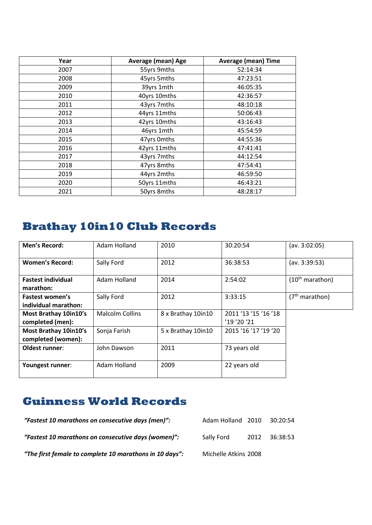| Year | Average (mean) Age | <b>Average (mean) Time</b> |
|------|--------------------|----------------------------|
| 2007 | 55yrs 9mths        | 52:14:34                   |
| 2008 | 45yrs 5mths        | 47:23:51                   |
| 2009 | 39yrs 1mth         | 46:05:35                   |
| 2010 | 40yrs 10mths       | 42:36:57                   |
| 2011 | 43yrs 7mths        | 48:10:18                   |
| 2012 | 44yrs 11mths       | 50:06:43                   |
| 2013 | 42yrs 10mths       | 43:16:43                   |
| 2014 | 46yrs 1mth         | 45:54:59                   |
| 2015 | 47yrs 0mths        | 44:55:36                   |
| 2016 | 42yrs 11mths       | 47:41:41                   |
| 2017 | 43yrs 7mths        | 44:12:54                   |
| 2018 | 47yrs 8mths        | 47:54:41                   |
| 2019 | 44yrs 2mths        | 46:59:50                   |
| 2020 | 50yrs 11mths       | 46:43:21                   |
| 2021 | 50yrs 8mths        | 48:28:17                   |

# **Brathay 10in10 Club Records**

| <b>Men's Record:</b>                        | Adam Holland           | 2010               | 30:20:54                          | (av. 3:02:05)        |
|---------------------------------------------|------------------------|--------------------|-----------------------------------|----------------------|
| <b>Women's Record:</b>                      | Sally Ford             | 2012               | 36:38:53                          | (av. 3:39:53)        |
| <b>Fastest individual</b><br>marathon:      | Adam Holland           | 2014               | 2:54:02                           | $(10^{th}$ marathon) |
| Fastest women's<br>individual marathon:     | Sally Ford             | 2012               | 3:33:15                           | $(7th$ marathon)     |
| Most Brathay 10in10's<br>completed (men):   | <b>Malcolm Collins</b> | 8 x Brathay 10in10 | 2011 '13 '15 '16 '18<br>'19'20'21 |                      |
| Most Brathay 10in10's<br>completed (women): | Sonja Farish           | 5 x Brathay 10in10 | 2015 '16 '17 '19 '20              |                      |
| Oldest runner:                              | John Dawson            | 2011               | 73 years old                      |                      |
| Youngest runner:                            | Adam Holland           | 2009               | 22 years old                      |                      |

# **Guinness World Records**

| "Fastest 10 marathons on consecutive days (men)":       | Adam Holland 2010    |      | 30:20:54   |
|---------------------------------------------------------|----------------------|------|------------|
| "Fastest 10 marathons on consecutive days (women)":     | Sally Ford           | 2012 | - 36:38:53 |
| "The first female to complete 10 marathons in 10 days": | Michelle Atkins 2008 |      |            |